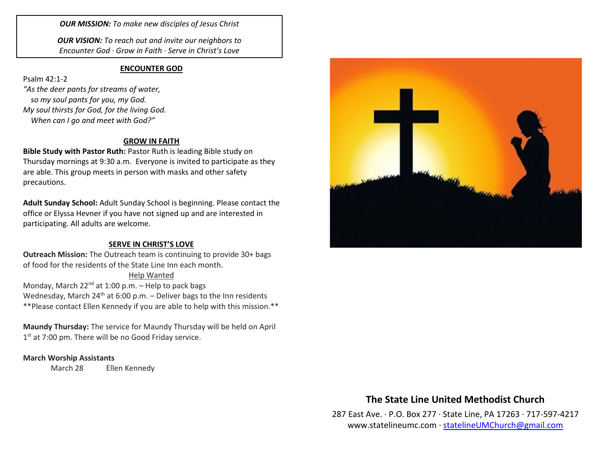*OUR MISSION: To make new disciples of Jesus Christ*

*OUR VISION: To reach out and invite our neighbors to Encounter God · Grow in Faith · Serve in Christ's Love*

#### **ENCOUNTER GOD**

Psalm 42:1-2 *"As the deer pants for streams of water, so my soul pants for you, my God. My soul thirsts for God, for the living God. When can I go and meet with God?"*

#### **GROW IN FAITH**

**Bible Study with Pastor Ruth:** Pastor Ruth is leading Bible study on Thursday mornings at 9:30 a.m. Everyone is invited to participate as they are able. This group meets in person with masks and other safety precautions.

**Adult Sunday School:** Adult Sunday School is beginning. Please contact the office or Elyssa Hevner if you have not signed up and are interested in participating. All adults are welcome.

### **SERVE IN CHRIST'S LOVE**

**Outreach Mission:** The Outreach team is continuing to provide 30+ bags of food for the residents of the State Line Inn each month.

Help Wanted Monday, March  $22^{nd}$  at 1:00 p.m. – Help to pack bags Wednesday, March  $24^{th}$  at 6:00 p.m. – Deliver bags to the Inn residents \*\*Please contact Ellen Kennedy if you are able to help with this mission.\*\*

**Maundy Thursday:** The service for Maundy Thursday will be held on April 1<sup>st</sup> at 7:00 pm. There will be no Good Friday service.

### **March Worship Assistants**

March 28 Ellen Kennedy



## **The State Line United Methodist Church**

287 East Ave. · P.O. Box 277 · State Line, PA 17263 · 717-597-4217 [www.statelineumc.com](http://www.statelineumc.com/) · [statelineUMChurch@gmail.com](mailto:statelineUMChurch@gmail.com)